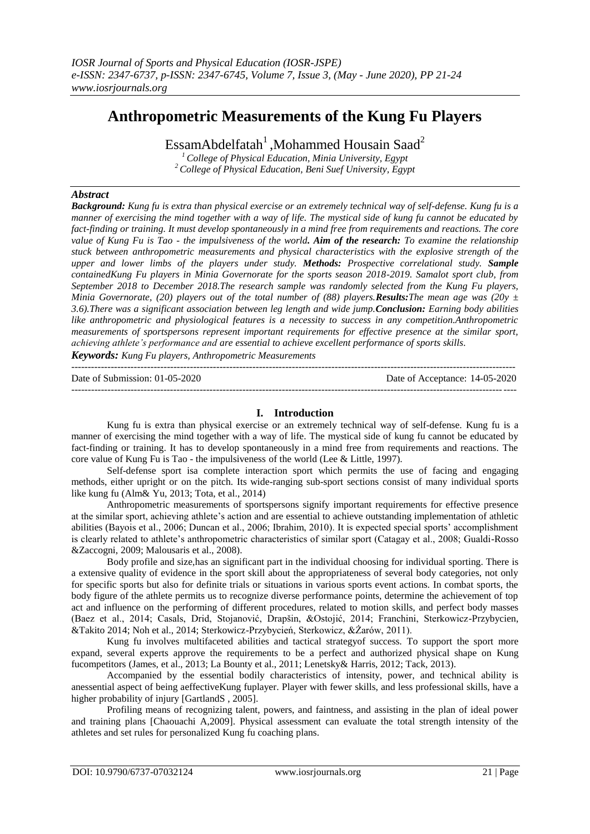# **Anthropometric Measurements of the Kung Fu Players**

EssamAbdelfatah<sup>1</sup>,Mohammed Housain Saad<sup>2</sup>

*<sup>1</sup>College of Physical Education, Minia University, Egypt <sup>2</sup>College of Physical Education, Beni Suef University, Egypt*

# *Abstract*

*Background: Kung fu is extra than physical exercise or an extremely technical way of self-defense. Kung fu is a manner of exercising the mind together with a way of life. The mystical side of kung fu cannot be educated by fact-finding or training. It must develop spontaneously in a mind free from requirements and reactions. The core value of Kung Fu is Tao - the impulsiveness of the world. Aim of the research: To examine the relationship stuck between anthropometric measurements and physical characteristics with the explosive strength of the upper and lower limbs of the players under study. Methods: Prospective correlational study. Sample containedKung Fu players in Minia Governorate for the sports season 2018-2019. Samalot sport club, from September 2018 to December 2018.The research sample was randomly selected from the Kung Fu players, Minia Governorate, (20) players out of the total number of (88) players.Results:The mean age was (20y ± 3.6).There was a significant association between leg length and wide jump.Conclusion: Earning body abilities like anthropometric and physiological features is a necessity to success in any competition.Anthropometric measurements of sportspersons represent important requirements for effective presence at the similar sport, achieving athlete's performance and are essential to achieve excellent performance of sports skills.*

*Keywords: Kung Fu players, Anthropometric Measurements*

| Date of Submission: $01-05-2020$ | Date of Acceptance: 14-05-2020 |
|----------------------------------|--------------------------------|
|                                  |                                |

# **I. Introduction**

Kung fu is extra than physical exercise or an extremely technical way of self-defense. Kung fu is a manner of exercising the mind together with a way of life. The mystical side of kung fu cannot be educated by fact-finding or training. It has to develop spontaneously in a mind free from requirements and reactions. The core value of Kung Fu is Tao - the impulsiveness of the world (Lee & Little, 1997).

Self-defense sport isa complete interaction sport which permits the use of facing and engaging methods, either upright or on the pitch. Its wide-ranging sub-sport sections consist of many individual sports like kung fu (Alm& Yu, 2013; Tota, et al., 2014)

Anthropometric measurements of sportspersons signify important requirements for effective presence at the similar sport, achieving athlete's action and are essential to achieve outstanding implementation of athletic abilities (Bayois et al., 2006; Duncan et al., 2006; Ibrahim, 2010). It is expected special sports' accomplishment is clearly related to athlete's anthropometric characteristics of similar sport (Catagay et al., 2008; Gualdi-Rosso &Zaccogni, 2009; Malousaris et al., 2008).

Body profile and size,has an significant part in the individual choosing for individual sporting. There is a extensive quality of evidence in the sport skill about the appropriateness of several body categories, not only for specific sports but also for definite trials or situations in various sports event actions. In combat sports, the body figure of the athlete permits us to recognize diverse performance points, determine the achievement of top act and influence on the performing of different procedures, related to motion skills, and perfect body masses (Baez et al., 2014; Casals, Drid, Stojanović, Drapšin, &Ostojić, 2014; Franchini, Sterkowicz-Przybycien, &Takito 2014; Noh et al., 2014; Sterkowicz-Przybycień, Sterkowicz, &Żarów, 2011).

Kung fu involves multifaceted abilities and tactical strategyof success. To support the sport more expand, several experts approve the requirements to be a perfect and authorized physical shape on Kung fucompetitors (James, et al., 2013; La Bounty et al., 2011; Lenetsky& Harris, 2012; Tack, 2013).

Accompanied by the essential bodily characteristics of intensity, power, and technical ability is anessential aspect of being aeffectiveKung fuplayer. Player with fewer skills, and less professional skills, have a higher probability of injury [GartlandS, 2005].

Profiling means of recognizing talent, powers, and faintness, and assisting in the plan of ideal power and training plans [Chaouachi A,2009]. Physical assessment can evaluate the total strength intensity of the athletes and set rules for personalized Kung fu coaching plans.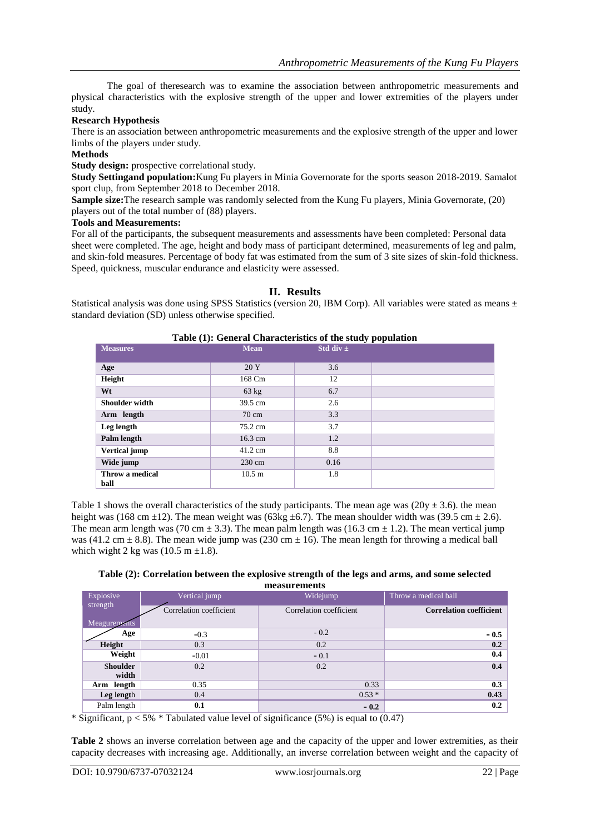The goal of theresearch was to examine the association between anthropometric measurements and physical characteristics with the explosive strength of the upper and lower extremities of the players under study.

### **Research Hypothesis**

There is an association between anthropometric measurements and the explosive strength of the upper and lower limbs of the players under study.

# **Methods**

**Study design:** prospective correlational study.

**Study Settingand population:**Kung Fu players in Minia Governorate for the sports season 2018-2019. Samalot sport clup, from September 2018 to December 2018.

**Sample size:**The research sample was randomly selected from the Kung Fu players, Minia Governorate, (20) players out of the total number of (88) players.

#### **Tools and Measurements:**

For all of the participants, the subsequent measurements and assessments have been completed: Personal data sheet were completed. The age, height and body mass of participant determined, measurements of leg and palm, and skin-fold measures. Percentage of body fat was estimated from the sum of 3 site sizes of skin-fold thickness. Speed, quickness, muscular endurance and elasticity were assessed.

#### **II. Results**

Statistical analysis was done using SPSS Statistics (version 20, IBM Corp). All variables were stated as means  $\pm$ standard deviation (SD) unless otherwise specified.

| Table (1): General Characteristics of the study population |                   |               |  |  |  |
|------------------------------------------------------------|-------------------|---------------|--|--|--|
| <b>Measures</b>                                            | <b>Mean</b>       | Std div $\pm$ |  |  |  |
|                                                            |                   |               |  |  |  |
| Age                                                        | 20 Y              | 3.6           |  |  |  |
| Height                                                     | 168 Cm            | 12            |  |  |  |
| Wt                                                         | 63 kg             | 6.7           |  |  |  |
| Shoulder width                                             | 39.5 cm           | 2.6           |  |  |  |
| Arm length                                                 | $70 \text{ cm}$   | 3.3           |  |  |  |
| Leg length                                                 | 75.2 cm           | 3.7           |  |  |  |
| Palm length                                                | $16.3 \text{ cm}$ | 1.2           |  |  |  |
| <b>Vertical jump</b>                                       | 41.2 cm           | 8.8           |  |  |  |
| Wide jump                                                  | 230 cm            | 0.16          |  |  |  |
| Throw a medical<br>ball                                    | $10.5 \text{ m}$  | 1.8           |  |  |  |

Table 1 shows the overall characteristics of the study participants. The mean age was ( $20y \pm 3.6$ ), the mean height was (168 cm  $\pm$ 12). The mean weight was (63kg  $\pm$ 6.7). The mean shoulder width was (39.5 cm  $\pm$  2.6). The mean arm length was (70 cm  $\pm$  3.3). The mean palm length was (16.3 cm  $\pm$  1.2). The mean vertical jump was (41.2 cm  $\pm$  8.8). The mean wide jump was (230 cm  $\pm$  16). The mean length for throwing a medical ball which wight 2 kg was  $(10.5 \text{ m } \pm 1.8)$ .

#### **Table (2): Correlation between the explosive strength of the legs and arms, and some selected measurements**

| Explosive<br>strength | Vertical jump           | Widejump                | Throw a medical ball           |  |
|-----------------------|-------------------------|-------------------------|--------------------------------|--|
|                       | Correlation coefficient | Correlation coefficient | <b>Correlation coefficient</b> |  |
| <b>Meagurements</b>   |                         |                         |                                |  |
| Age                   | $-0.3$                  | $-0.2$                  | $-0.5$                         |  |
| Height                | 0.3                     | 0.2                     | 0.2                            |  |
| Weight                | $-0.01$                 | $-0.1$                  | 0.4                            |  |
| <b>Shoulder</b>       | 0.2                     | 0.2                     | 0.4                            |  |
| width                 |                         |                         |                                |  |
| Arm length            | 0.35                    | 0.33                    | 0.3                            |  |
| Leg length            | 0.4                     | $0.53*$                 | 0.43                           |  |
| Palm length           | 0.1                     | $-0.2$                  | 0.2                            |  |

\* Significant,  $p < 5\%$  \* Tabulated value level of significance (5%) is equal to (0.47)

**Table 2** shows an inverse correlation between age and the capacity of the upper and lower extremities, as their capacity decreases with increasing age. Additionally, an inverse correlation between weight and the capacity of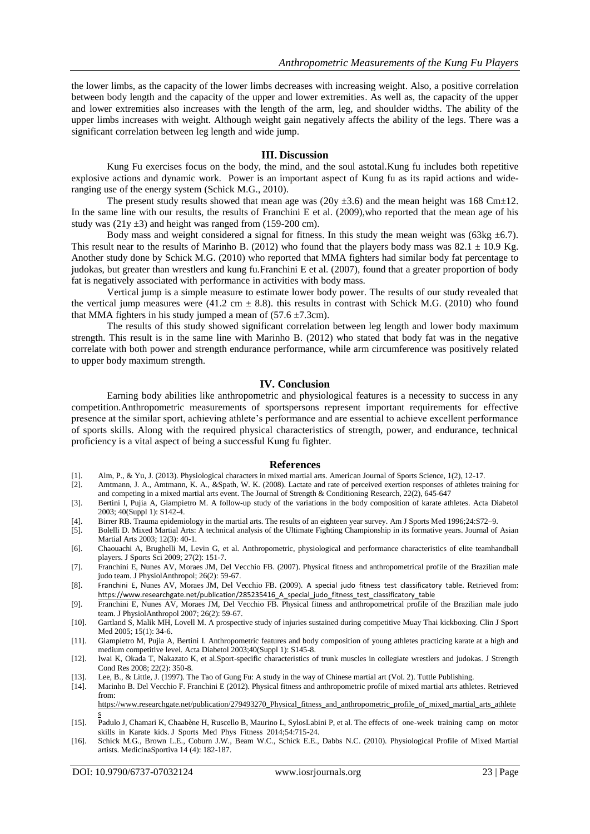the lower limbs, as the capacity of the lower limbs decreases with increasing weight. Also, a positive correlation between body length and the capacity of the upper and lower extremities. As well as, the capacity of the upper and lower extremities also increases with the length of the arm, leg, and shoulder widths. The ability of the upper limbs increases with weight. Although weight gain negatively affects the ability of the legs. There was a significant correlation between leg length and wide jump.

#### **III. Discussion**

Kung Fu exercises focus on the body, the mind, and the soul astotal.Kung fu includes both repetitive explosive actions and dynamic work. Power is an important aspect of Kung fu as its rapid actions and wideranging use of the energy system (Schick M.G., 2010).

The present study results showed that mean age was ( $20y \pm 3.6$ ) and the mean height was 168 Cm $\pm 12$ . In the same line with our results, the results of Franchini E et al. (2009), who reported that the mean age of his study was  $(21y \pm 3)$  and height was ranged from (159-200 cm).

Body mass and weight considered a signal for fitness. In this study the mean weight was (63kg  $\pm$ 6.7). This result near to the results of Marinho B. (2012) who found that the players body mass was  $82.1 \pm 10.9$  Kg. Another study done by Schick M.G. (2010) who reported that MMA fighters had similar body fat percentage to judokas, but greater than wrestlers and kung fu.Franchini E et al. (2007), found that a greater proportion of body fat is negatively associated with performance in activities with body mass.

Vertical jump is a simple measure to estimate lower body power. The results of our study revealed that the vertical jump measures were (41.2 cm  $\pm$  8.8). this results in contrast with Schick M.G. (2010) who found that MMA fighters in his study jumped a mean of  $(57.6 \pm 7.3 \text{cm})$ .

The results of this study showed significant correlation between leg length and lower body maximum strength. This result is in the same line with Marinho B. (2012) who stated that body fat was in the negative correlate with both power and strength endurance performance, while arm circumference was positively related to upper body maximum strength.

# **IV. Conclusion**

Earning body abilities like anthropometric and physiological features is a necessity to success in any competition.Anthropometric measurements of sportspersons represent important requirements for effective presence at the similar sport, achieving athlete's performance and are essential to achieve excellent performance of sports skills. Along with the required physical characteristics of strength, power, and endurance, technical proficiency is a vital aspect of being a successful Kung fu fighter.

#### **References**

- [1]. Alm, P., & Yu, J. (2013). Physiological characters in mixed martial arts. American Journal of Sports Science, 1(2), 12-17.
- Amtmann, J. A., Amtmann, K. A., &Spath, W. K. (2008). Lactate and rate of perceived exertion responses of athletes training for and competing in a mixed martial arts event. The Journal of Strength & Conditioning Research, 22(2), 645-647
- [3]. Bertini I, Pujia A, Giampietro M. A follow-up study of the variations in the body composition of karate athletes. Acta Diabetol 2003; 40(Suppl 1): S142-4.
- [4]. Birrer RB. Trauma epidemiology in the martial arts. The results of an eighteen year survey. Am J Sports Med 1996;24:S72–9.
- [5]. Bolelli D. Mixed Martial Arts: A technical analysis of the Ultimate Fighting Championship in its formative years. Journal of Asian Martial Arts 2003; 12(3): 40-1.
- [6]. Chaouachi A, Brughelli M, Levin G, et al. Anthropometric, physiological and performance characteristics of elite teamhandball players. J Sports Sci 2009; 27(2): 151-7.
- [7]. Franchini E, Nunes AV, Moraes JM, Del Vecchio FB. (2007). Physical fitness and anthropometrical profile of the Brazilian male judo team. J PhysiolAnthropol; 26(2): 59-67.
- [8]. Franchini E, Nunes AV, Moraes JM, Del Vecchio FB. (2009). A special judo fitness test classificatory table. Retrieved from: https://www.researchgate.net/publication/285235416 A special judo fitness test classificatory table
- [9]. Franchini E, Nunes AV, Moraes JM, Del Vecchio FB. Physical fitness and anthropometrical profile of the Brazilian male judo team. J PhysiolAnthropol 2007; 26(2): 59-67.
- [10]. Gartland S, Malik MH, Lovell M. A prospective study of injuries sustained during competitive Muay Thai kickboxing. Clin J Sport Med 2005; 15(1): 34-6.
- [11]. Giampietro M, Pujia A, Bertini I. Anthropometric features and body composition of young athletes practicing karate at a high and medium competitive level. Acta Diabetol 2003;40(Suppl 1): S145-8.
- [12]. Iwai K, Okada T, Nakazato K, et al.Sport-specific characteristics of trunk muscles in collegiate wrestlers and judokas. J Strength Cond Res 2008; 22(2): 350-8.
- [13]. Lee, B., & Little, J. (1997). The Tao of Gung Fu: A study in the way of Chinese martial art (Vol. 2). Tuttle Publishing.
- [14]. Marinho B. Del Vecchio F. Franchini E (2012). Physical fitness and anthropometric profile of mixed martial arts athletes. Retrieved from:

[https://www.researchgate.net/publication/279493270\\_Physical\\_fitness\\_and\\_anthropometric\\_profile\\_of\\_mixed\\_martial\\_arts\\_athlete](https://www.researchgate.net/publication/279493270_Physical_fitness_and_anthropometric_profile_of_mixed_martial_arts_athletes) [s](https://www.researchgate.net/publication/279493270_Physical_fitness_and_anthropometric_profile_of_mixed_martial_arts_athletes)

- [15]. Padulo J, Chamari K, Chaabène H, Ruscello B, Maurino L, SylosLabini P, et al. The effects of one-week training camp on motor skills in Karate kids. J Sports Med Phys Fitness 2014;54:715-24.
- [16]. Schick M.G., Brown L.E., Coburn J.W., Beam W.C., Schick E.E., Dabbs N.C. (2010). Physiological Profile of Mixed Martial artists. MedicinaSportiva 14 (4): 182-187.